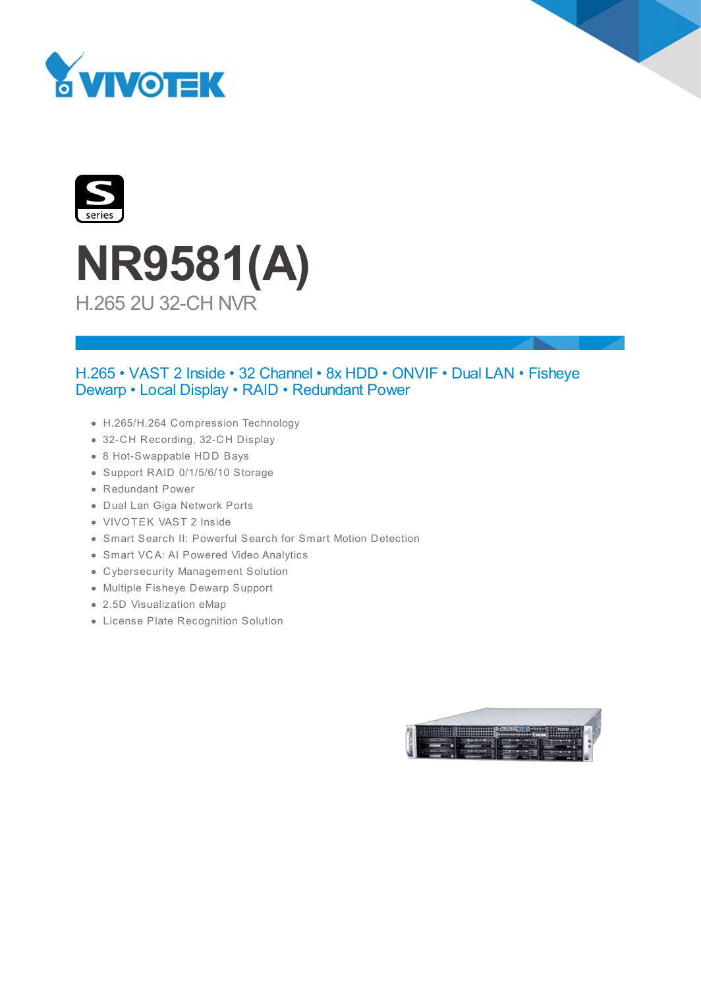





## H.265 • VAST 2 Inside • 32 Channel • 8x HDD • ONVIF • Dual LAN • Fisheye Dewarp • Local Display • RAID • Redundant Power

- H.265/H.264 Compression Technology
- 32-CH Recording, 32-CH Display
- 8 Hot-Swappable HDD Bays
- Support RAID 0/1/5/6/10 Storage
- Redundant Power
- Dual Lan Giga Network Ports
- VIVOTEK VAST 2 Inside
- Smart Search II: Powerful Search for Smart Motion Detection
- Smart VCA: AI Powered Video Analytics
- Cybersecurity Management Solution
- Multiple Fisheye Dewarp Support
- 2.5D Visualization eMap
- License Plate Recognition Solution

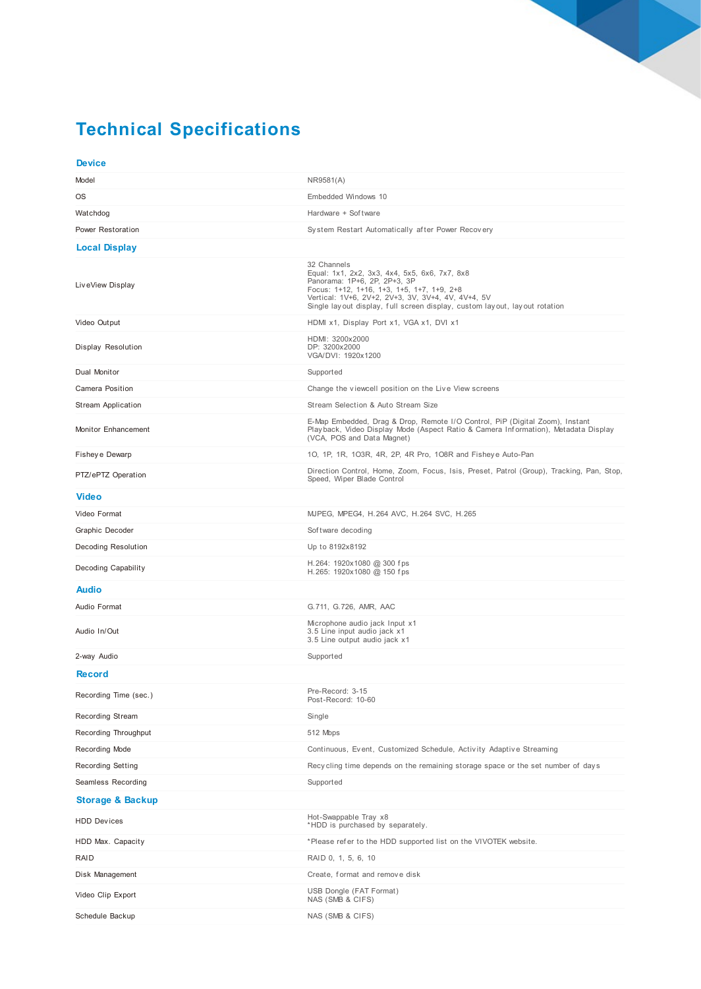## **Technical Specifications**

| <b>Device</b>               |                                                                                                                                                                                                                                                                                |
|-----------------------------|--------------------------------------------------------------------------------------------------------------------------------------------------------------------------------------------------------------------------------------------------------------------------------|
| Model                       | NR9581(A)                                                                                                                                                                                                                                                                      |
| OS                          | Embedded Windows 10                                                                                                                                                                                                                                                            |
| Watchdog                    | Hardware + Sof tware                                                                                                                                                                                                                                                           |
| Power Restoration           | System Restart Automatically after Power Recovery                                                                                                                                                                                                                              |
| <b>Local Display</b>        |                                                                                                                                                                                                                                                                                |
| LiveView Display            | 32 Channels<br>Equal: 1x1, 2x2, 3x3, 4x4, 5x5, 6x6, 7x7, 8x8<br>Panorama: 1P+6, 2P, 2P+3, 3P<br>Focus: 1+12, 1+16, 1+3, 1+5, 1+7, 1+9, 2+8<br>Vertical: 1V+6, 2V+2, 2V+3, 3V, 3V+4, 4V, 4V+4, 5V<br>Single layout display, full screen display, custom layout, layout rotation |
| Video Output                | HDMI x1, Display Port x1, VGA x1, DVI x1                                                                                                                                                                                                                                       |
| Display Resolution          | HDMI: 3200x2000<br>DP: 3200x2000<br>VGA/DVI: 1920x1200                                                                                                                                                                                                                         |
| Dual Monitor                | Supported                                                                                                                                                                                                                                                                      |
| <b>Camera Position</b>      | Change the viewcell position on the Live View screens                                                                                                                                                                                                                          |
| Stream Application          | Stream Selection & Auto Stream Size                                                                                                                                                                                                                                            |
| Monitor Enhancement         | E-Map Embedded, Drag & Drop, Remote I/O Control, PiP (Digital Zoom), Instant<br>Playback, Video Display Mode (Aspect Ratio & Camera Information), Metadata Display<br>(VCA, POS and Data Magnet)                                                                               |
| Fishey e Dewarp             | 10, 1P, 1R, 103R, 4R, 2P, 4R Pro, 108R and Fisheye Auto-Pan                                                                                                                                                                                                                    |
| PTZ/ePTZ Operation          | Direction Control, Home, Zoom, Focus, Isis, Preset, Patrol (Group), Tracking, Pan, Stop,<br>Speed, Wiper Blade Control                                                                                                                                                         |
| <b>Video</b>                |                                                                                                                                                                                                                                                                                |
| Video Format                | MJPEG, MPEG4, H.264 AVC, H.264 SVC, H.265                                                                                                                                                                                                                                      |
| Graphic Decoder             | Software decoding                                                                                                                                                                                                                                                              |
| Decoding Resolution         | Up to 8192x8192                                                                                                                                                                                                                                                                |
| Decoding Capability         | H.264: 1920x1080 @ 300 fps<br>H.265: 1920x1080 @ 150 fps                                                                                                                                                                                                                       |
| <b>Audio</b>                |                                                                                                                                                                                                                                                                                |
| Audio Format                | G.711, G.726, AMR, AAC                                                                                                                                                                                                                                                         |
| Audio In/Out                | Microphone audio jack Input x1<br>3.5 Line input audio jack x1<br>3.5 Line output audio jack x1                                                                                                                                                                                |
| 2-way Audio                 | Supported                                                                                                                                                                                                                                                                      |
| <b>Record</b>               |                                                                                                                                                                                                                                                                                |
| Recording Time (sec.)       | Pre-Record: 3-15<br>Post-Record: 10-60                                                                                                                                                                                                                                         |
| Recording Stream            | Single                                                                                                                                                                                                                                                                         |
| Recording Throughput        | 512 Mbps                                                                                                                                                                                                                                                                       |
| Recording Mode              | Continuous, Event, Customized Schedule, Activity Adaptive Streaming                                                                                                                                                                                                            |
| <b>Recording Setting</b>    | Recycling time depends on the remaining storage space or the set number of days                                                                                                                                                                                                |
| Seamless Recording          | Supported                                                                                                                                                                                                                                                                      |
| <b>Storage &amp; Backup</b> |                                                                                                                                                                                                                                                                                |
| <b>HDD Devices</b>          | Hot-Swappable Tray x8<br>*HDD is purchased by separately.                                                                                                                                                                                                                      |
| HDD Max. Capacity           | *Please refer to the HDD supported list on the VIVOTEK website.                                                                                                                                                                                                                |
| RAID                        | RAID 0, 1, 5, 6, 10                                                                                                                                                                                                                                                            |
| Disk Management             | Create, format and remove disk                                                                                                                                                                                                                                                 |
| Video Clip Export           | USB Dongle (FAT Format)<br>NAS (SMB & CIFS)                                                                                                                                                                                                                                    |
| Schedule Backup             | NAS (SMB & CIFS)                                                                                                                                                                                                                                                               |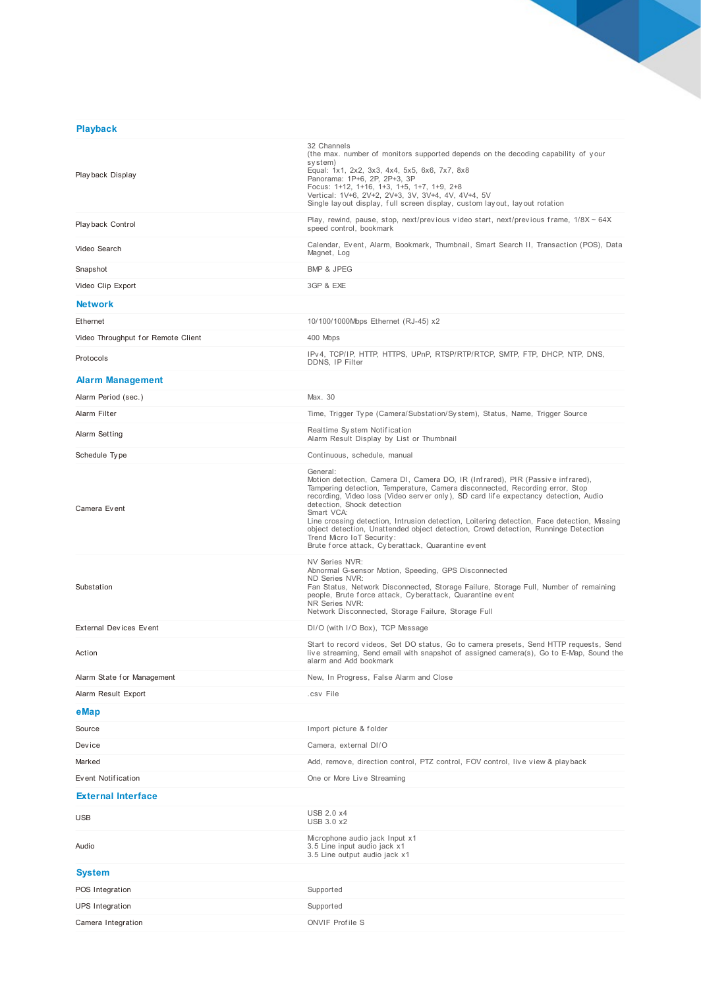## **Playback**

| Playback Display                   | 32 Channels<br>(the max. number of monitors supported depends on the decoding capability of your<br>system)<br>Equal: 1x1, 2x2, 3x3, 4x4, 5x5, 6x6, 7x7, 8x8<br>Panorama: 1P+6, 2P, 2P+3, 3P<br>Focus: 1+12, 1+16, 1+3, 1+5, 1+7, 1+9, 2+8<br>Vertical: 1V+6, 2V+2, 2V+3, 3V, 3V+4, 4V, 4V+4, 5V<br>Single layout display, full screen display, custom layout, layout rotation                                                                                                                                                                                                      |
|------------------------------------|-------------------------------------------------------------------------------------------------------------------------------------------------------------------------------------------------------------------------------------------------------------------------------------------------------------------------------------------------------------------------------------------------------------------------------------------------------------------------------------------------------------------------------------------------------------------------------------|
| Playback Control                   | Play, rewind, pause, stop, next/previous video start, next/previous frame, $1/8X \sim 64X$<br>speed control, bookmark                                                                                                                                                                                                                                                                                                                                                                                                                                                               |
| Video Search                       | Calendar, Event, Alarm, Bookmark, Thumbnail, Smart Search II, Transaction (POS), Data<br>Magnet, Log                                                                                                                                                                                                                                                                                                                                                                                                                                                                                |
| Snapshot                           | <b>BMP &amp; JPEG</b>                                                                                                                                                                                                                                                                                                                                                                                                                                                                                                                                                               |
| Video Clip Export                  | 3GP & EXE                                                                                                                                                                                                                                                                                                                                                                                                                                                                                                                                                                           |
| <b>Network</b>                     |                                                                                                                                                                                                                                                                                                                                                                                                                                                                                                                                                                                     |
| Ethernet                           | 10/100/1000Mbps Ethernet (RJ-45) x2                                                                                                                                                                                                                                                                                                                                                                                                                                                                                                                                                 |
| Video Throughput for Remote Client | 400 Mbps                                                                                                                                                                                                                                                                                                                                                                                                                                                                                                                                                                            |
| Protocols                          | IPv4, TCP/IP, HTTP, HTTPS, UPnP, RTSP/RTP/RTCP, SMTP, FTP, DHCP, NTP, DNS,<br>DDNS, IP Filter                                                                                                                                                                                                                                                                                                                                                                                                                                                                                       |
| <b>Alarm Management</b>            |                                                                                                                                                                                                                                                                                                                                                                                                                                                                                                                                                                                     |
| Alarm Period (sec.)                | Max. 30                                                                                                                                                                                                                                                                                                                                                                                                                                                                                                                                                                             |
| Alarm Filter                       | Time, Trigger Type (Camera/Substation/System), Status, Name, Trigger Source                                                                                                                                                                                                                                                                                                                                                                                                                                                                                                         |
| Alarm Setting                      | Realtime System Notification<br>Alarm Result Display by List or Thumbnail                                                                                                                                                                                                                                                                                                                                                                                                                                                                                                           |
| Schedule Type                      | Continuous, schedule, manual                                                                                                                                                                                                                                                                                                                                                                                                                                                                                                                                                        |
| Camera Event                       | General:<br>Motion detection, Camera DI, Camera DO, IR (Infrared), PIR (Passive infrared),<br>Tampering detection, Temperature, Camera disconnected, Recording error, Stop<br>recording, Video loss (Video server only), SD card life expectancy detection, Audio<br>detection, Shock detection<br>Smart VCA:<br>Line crossing detection, Intrusion detection, Loitering detection, Face detection, Missing<br>object detection, Unattended object detection, Crowd detection, Runninge Detection<br>Trend Micro IoT Security:<br>Brute force attack, Cyberattack, Quarantine event |
| Substation                         | <b>NV Series NVR:</b><br>Abnormal G-sensor Motion, Speeding, GPS Disconnected<br>ND Series NVR:<br>Fan Status, Network Disconnected, Storage Failure, Storage Full, Number of remaining<br>people, Brute force attack, Cyberattack, Quarantine event<br>NR Series NVR:<br>Network Disconnected, Storage Failure, Storage Full                                                                                                                                                                                                                                                       |
| <b>External Devices Event</b>      | DI/O (with I/O Box), TCP Message                                                                                                                                                                                                                                                                                                                                                                                                                                                                                                                                                    |
| Action                             | Start to record videos, Set DO status, Go to camera presets, Send HTTP requests, Send<br>live streaming, Send email with snapshot of assigned camera(s), Go to E-Map, Sound the<br>alarm and Add bookmark                                                                                                                                                                                                                                                                                                                                                                           |
| Alarm State for Management         | New, In Progress, False Alarm and Close                                                                                                                                                                                                                                                                                                                                                                                                                                                                                                                                             |
| Alarm Result Export                | .csv File                                                                                                                                                                                                                                                                                                                                                                                                                                                                                                                                                                           |
| eMap                               |                                                                                                                                                                                                                                                                                                                                                                                                                                                                                                                                                                                     |
| Source                             | Import picture & folder                                                                                                                                                                                                                                                                                                                                                                                                                                                                                                                                                             |
| Device                             | Camera, external DI/O                                                                                                                                                                                                                                                                                                                                                                                                                                                                                                                                                               |
| Marked                             | Add, remove, direction control, PTZ control, FOV control, live view & playback                                                                                                                                                                                                                                                                                                                                                                                                                                                                                                      |
| Event Notification                 | One or More Live Streaming                                                                                                                                                                                                                                                                                                                                                                                                                                                                                                                                                          |
| <b>External Interface</b>          |                                                                                                                                                                                                                                                                                                                                                                                                                                                                                                                                                                                     |
| <b>USB</b>                         | <b>USB 2.0 x4</b><br>USB 3.0 x2                                                                                                                                                                                                                                                                                                                                                                                                                                                                                                                                                     |
| Audio                              | Microphone audio jack Input x1<br>3.5 Line input audio jack x1<br>3.5 Line output audio jack x1                                                                                                                                                                                                                                                                                                                                                                                                                                                                                     |
| <b>System</b>                      |                                                                                                                                                                                                                                                                                                                                                                                                                                                                                                                                                                                     |
| POS Integration                    | Supported                                                                                                                                                                                                                                                                                                                                                                                                                                                                                                                                                                           |
| <b>UPS</b> Integration             | Supported                                                                                                                                                                                                                                                                                                                                                                                                                                                                                                                                                                           |
| Camera Integration                 | <b>ONVIF Profile S</b>                                                                                                                                                                                                                                                                                                                                                                                                                                                                                                                                                              |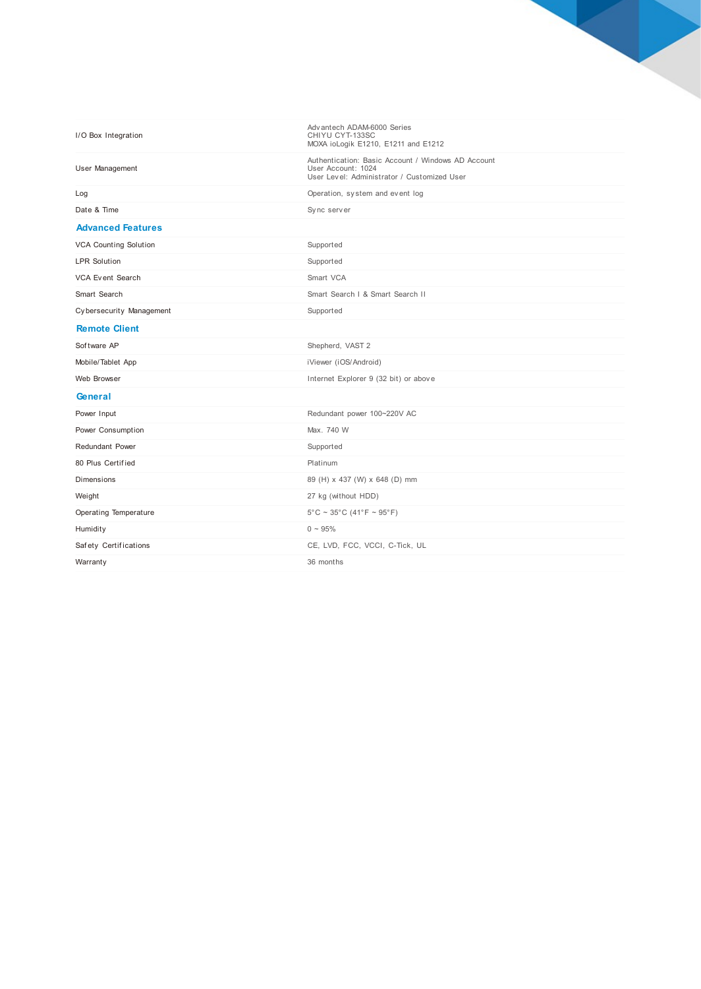| I/O Box Integration          | Adv antech ADAM-6000 Series<br>CHIYU CYT-133SC<br>MOXA ioLogik E1210, E1211 and E1212                                   |
|------------------------------|-------------------------------------------------------------------------------------------------------------------------|
| User Management              | Authentication: Basic Account / Windows AD Account<br>User Account: 1024<br>User Level: Administrator / Customized User |
| Log                          | Operation, system and event log                                                                                         |
| Date & Time                  | Sync server                                                                                                             |
| <b>Advanced Features</b>     |                                                                                                                         |
| <b>VCA Counting Solution</b> | Supported                                                                                                               |
| <b>LPR Solution</b>          | Supported                                                                                                               |
| VCA Event Search             | Smart VCA                                                                                                               |
| Smart Search                 | Smart Search I & Smart Search II                                                                                        |
| Cybersecurity Management     | Supported                                                                                                               |
| <b>Remote Client</b>         |                                                                                                                         |
| Software AP                  | Shepherd, VAST 2                                                                                                        |
| Mobile/Tablet App            | iViewer (iOS/Android)                                                                                                   |
| Web Browser                  | Internet Explorer 9 (32 bit) or above                                                                                   |
| General                      |                                                                                                                         |
| Power Input                  | Redundant power 100~220V AC                                                                                             |
| Power Consumption            | Max. 740 W                                                                                                              |
| <b>Redundant Power</b>       | Supported                                                                                                               |
| 80 Plus Certified            | Platinum                                                                                                                |
| Dimensions                   | 89 (H) x 437 (W) x 648 (D) mm                                                                                           |
| Weight                       | 27 kg (without HDD)                                                                                                     |
| Operating Temperature        | $5^{\circ}$ C ~ 35 $^{\circ}$ C (41 $^{\circ}$ F ~ 95 $^{\circ}$ F)                                                     |
| Humidity                     | $0 \sim 95\%$                                                                                                           |
| Safety Certifications        | CE, LVD, FCC, VCCI, C-Tick, UL                                                                                          |
| Warranty                     | 36 months                                                                                                               |